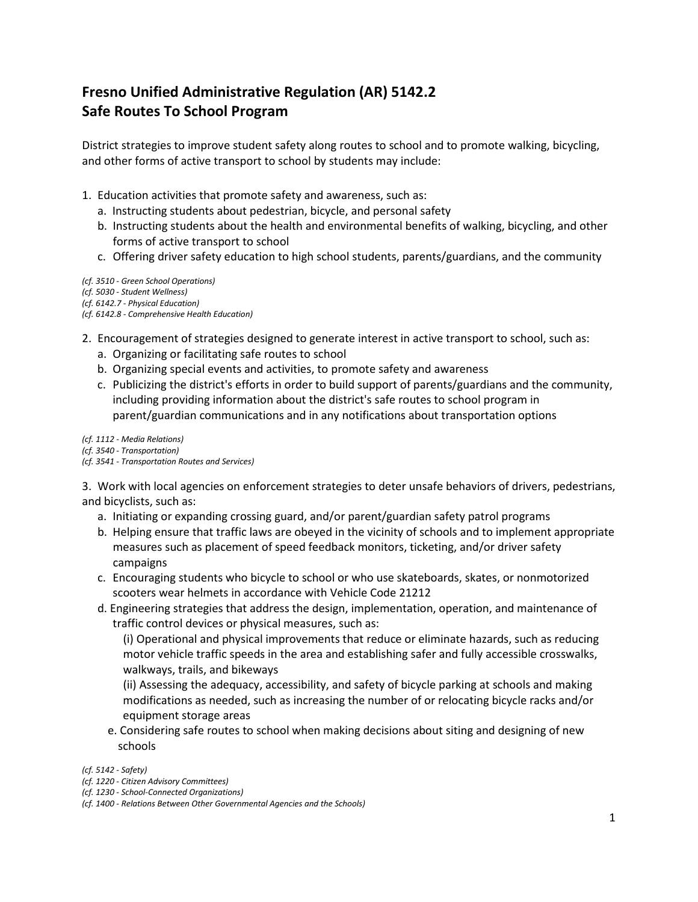## **Fresno Unified Administrative Regulation (AR) 5142.2 Safe Routes To School Program**

District strategies to improve student safety along routes to school and to promote walking, bicycling, and other forms of active transport to school by students may include:

- 1. Education activities that promote safety and awareness, such as:
	- a. Instructing students about pedestrian, bicycle, and personal safety
	- b. Instructing students about the health and environmental benefits of walking, bicycling, and other forms of active transport to school
	- c. Offering driver safety education to high school students, parents/guardians, and the community
- *(cf. 3510 - Green School Operations)*
- *(cf. 5030 - Student Wellness)*
- *(cf. 6142.7 - Physical Education)*
- *(cf. 6142.8 - Comprehensive Health Education)*
- 2. Encouragement of strategies designed to generate interest in active transport to school, such as:
	- a. Organizing or facilitating safe routes to school
	- b. Organizing special events and activities, to promote safety and awareness
	- c. Publicizing the district's efforts in order to build support of parents/guardians and the community, including providing information about the district's safe routes to school program in parent/guardian communications and in any notifications about transportation options

*(cf. 1112 - Media Relations)*

*(cf. 3540 - Transportation)*

*(cf. 3541 - Transportation Routes and Services)*

3. Work with local agencies on enforcement strategies to deter unsafe behaviors of drivers, pedestrians, and bicyclists, such as:

- a. Initiating or expanding crossing guard, and/or parent/guardian safety patrol programs
- b. Helping ensure that traffic laws are obeyed in the vicinity of schools and to implement appropriate measures such as placement of speed feedback monitors, ticketing, and/or driver safety campaigns
- c. Encouraging students who bicycle to school or who use skateboards, skates, or nonmotorized scooters wear helmets in accordance with Vehicle Code 21212
- d. Engineering strategies that address the design, implementation, operation, and maintenance of traffic control devices or physical measures, such as:

(i) Operational and physical improvements that reduce or eliminate hazards, such as reducing motor vehicle traffic speeds in the area and establishing safer and fully accessible crosswalks, walkways, trails, and bikeways

(ii) Assessing the adequacy, accessibility, and safety of bicycle parking at schools and making modifications as needed, such as increasing the number of or relocating bicycle racks and/or equipment storage areas

e. Considering safe routes to school when making decisions about siting and designing of new schools

*(cf. 5142 - Safety)*

- *(cf. 1220 - Citizen Advisory Committees)*
- *(cf. 1230 - School-Connected Organizations)*

*<sup>(</sup>cf. 1400 - Relations Between Other Governmental Agencies and the Schools)*